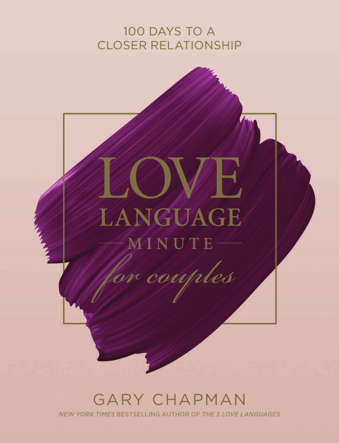# 100 DAYS TO A **CLOSER RELATIONSHIP**



## **GARY CHAPMAN** NEW YORK TIMES BESTSELLING AUTHOR OF THE 5 LOVE LANGUAGES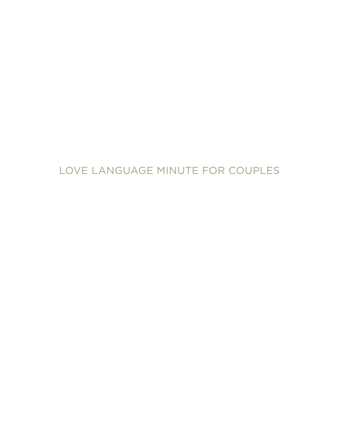# LOVE LANGUAGE MINUTE FOR COUPLES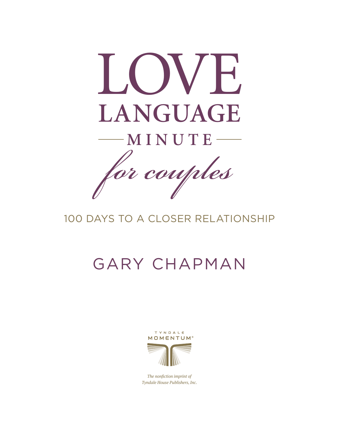

# 100 DAYS TO A CLOSER RELATIONSHIP

# GARY CHAPMAN



The nonfiction imprint of Tyndale House Publishers, Inc.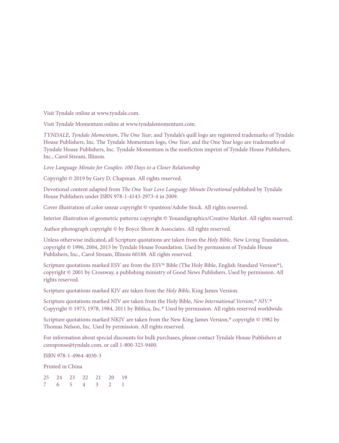Visit Tyndale online at www.tyndale.com.

Visit Tyndale Momentum online at www.tyndalemomentum.com.

*TYNDALE*, *Tyndale Momentum*, *The One Year*, and Tyndale's quill logo are registered trademarks of Tyndale House Publishers, Inc. The Tyndale Momentum logo, *One Year*, and the One Year logo are trademarks of Tyndale House Publishers, Inc. Tyndale Momentum is the nonfiction imprint of Tyndale House Publishers, Inc., Carol Stream, Illinois.

*Love Language Minute for Couples: 100 Days to a Closer Relationship*

Copyright © 2019 by Gary D. Chapman. All rights reserved.

Devotional content adapted from *The One Year Love Language Minute Devotional* published by Tyndale House Publishers under ISBN 978-1-4143-2973-4 in 2009.

Cover illustration of color smear copyright © vpanteon/Adobe Stock. All rights reserved.

Interior illustration of geometric patterns copyright © Youandigraphics/Creative Market. All rights reserved.

Author photograph copyright © by Boyce Shore & Associates. All rights reserved.

Unless otherwise indicated, all Scripture quotations are taken from the *Holy Bible*, New Living Translation, copyright © 1996, 2004, 2015 by Tyndale House Foundation. Used by permission of Tyndale House Publishers, Inc., Carol Stream, Illinois 60188. All rights reserved.

Scripture quotations marked ESV are from the ESV® Bible (The Holy Bible, English Standard Version®), copyright © 2001 by Crossway, a publishing ministry of Good News Publishers. Used by permission. All rights reserved.

Scripture quotations marked KJV are taken from the *Holy Bible*, King James Version.

Scripture quotations marked NIV are taken from the Holy Bible, *New International Version*, ® *NIV*. ® Copyright © 1973, 1978, 1984, 2011 by Biblica, Inc.® Used by permission. All rights reserved worldwide.

Scripture quotations marked NKJV are taken from the New King James Version,<sup>®</sup> copyright © 1982 by Thomas Nelson, Inc. Used by permission. All rights reserved.

For information about special discounts for bulk purchases, please contact Tyndale House Publishers at csresponse@tyndale.com, or call 1-800-323-9400.

ISBN 978-1-4964-4030-3

Printed in China

25 24 23 22 21 20 19 7 6 5 4 3 2 1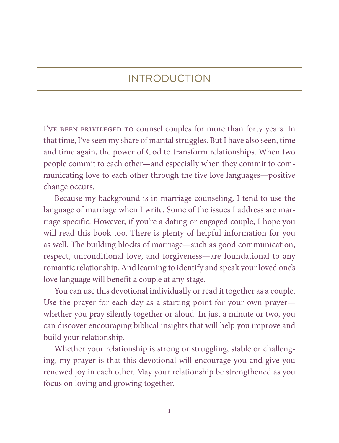## INTRODUCTION

I've been privileged to counsel couples for more than forty years. In that time, I've seen my share of marital struggles. But I have also seen, time and time again, the power of God to transform relationships. When two people commit to each other—and especially when they commit to communicating love to each other through the five love languages—positive change occurs.

Because my background is in marriage counseling, I tend to use the language of marriage when I write. Some of the issues I address are marriage specific. However, if you're a dating or engaged couple, I hope you will read this book too. There is plenty of helpful information for you as well. The building blocks of marriage—such as good communication, respect, unconditional love, and forgiveness— are foundational to any romantic relationship. And learning to identify and speak your loved one's love language will benefit a couple at any stage.

You can use this devotional individually or read it together as a couple. Use the prayer for each day as a starting point for your own prayer whether you pray silently together or aloud. In just a minute or two, you can discover encouraging biblical insights that will help you improve and build your relationship.

Whether your relationship is strong or struggling, stable or challenging, my prayer is that this devotional will encourage you and give you renewed joy in each other. May your relationship be strengthened as you focus on loving and growing together.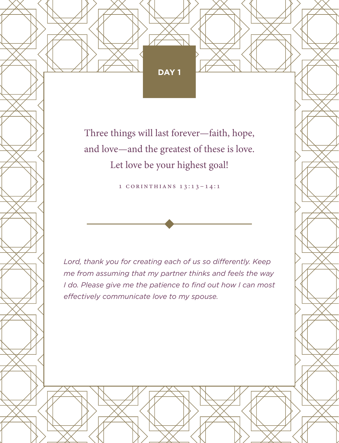Three things will last forever—faith, hope, and love—and the greatest of these is love. Let love be your highest goal!

1 Corinthians 13:13–14:1

*Lord, thank you for creating each of us so differently. Keep me from assuming that my partner thinks and feels the way I do. Please give me the patience to find out how I can most effectively communicate love to my spouse.*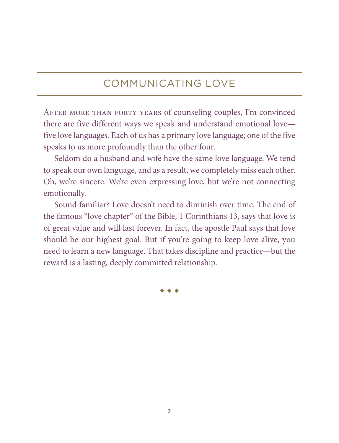### COMMUNICATING LOVE

After more than forty years of counseling couples, I'm convinced there are five different ways we speak and understand emotional love five love languages. Each of us has a primary love language; one of the five speaks to us more profoundly than the other four.

Seldom do a husband and wife have the same love language. We tend to speak our own language, and as a result, we completely miss each other. Oh, we're sincere. We're even expressing love, but we're not connecting emotionally.

Sound familiar? Love doesn't need to diminish over time. The end of the famous "love chapter" of the Bible, 1 Corinthians 13, says that love is of great value and will last forever. In fact, the apostle Paul says that love should be our highest goal. But if you're going to keep love alive, you need to learn a new language. That takes discipline and practice—but the reward is a lasting, deeply committed relationship.

 $\bullet$   $\bullet$   $\bullet$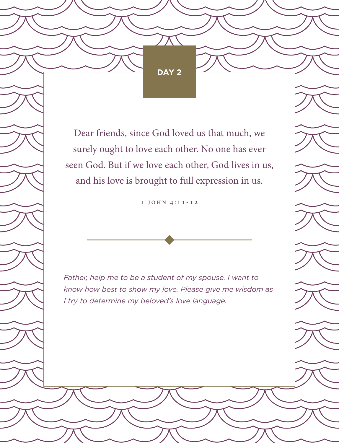Dear friends, since God loved us that much, we surely ought to love each other. No one has ever seen God. But if we love each other, God lives in us, and his love is brought to full expression in us.

1 John 4:11-12

*Father, help me to be a student of my spouse. I want to know how best to show my love. Please give me wisdom as I try to determine my beloved's love language.*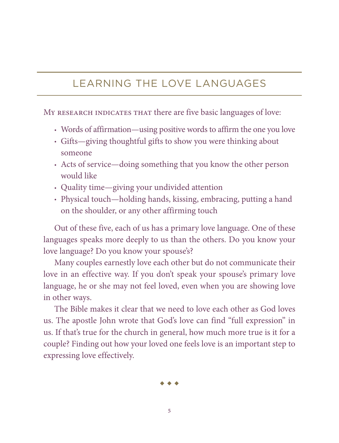## LEARNING THE LOVE LANGUAGES

MY RESEARCH INDICATES THAT there are five basic languages of love:

- Words of affirmation—using positive words to affirm the one you love
- Gifts—giving thoughtful gifts to show you were thinking about someone
- Acts of service—doing something that you know the other person would like
- Quality time—giving your undivided attention
- Physical touch—holding hands, kissing, embracing, putting a hand on the shoulder, or any other affirming touch

Out of these five, each of us has a primary love language. One of these languages speaks more deeply to us than the others. Do you know your love language? Do you know your spouse's?

Many couples earnestly love each other but do not communicate their love in an effective way. If you don't speak your spouse's primary love language, he or she may not feel loved, even when you are showing love in other ways.

The Bible makes it clear that we need to love each other as God loves us. The apostle John wrote that God's love can find "full expression" in us. If that's true for the church in general, how much more true is it for a couple? Finding out how your loved one feels love is an important step to expressing love effectively.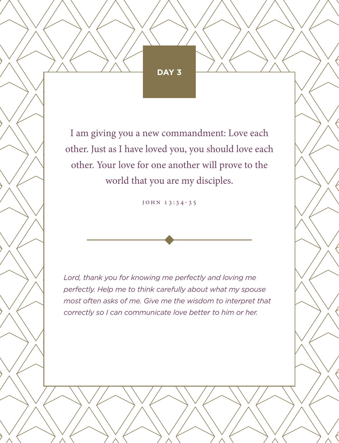I am giving you a new commandment: Love each other. Just as I have loved you, you should love each other. Your love for one another will prove to the world that you are my disciples.

John 13:34-35

*Lord, thank you for knowing me perfectly and loving me perfectly. Help me to think carefully about what my spouse most often asks of me. Give me the wisdom to interpret that correctly so I can communicate love better to him or her.*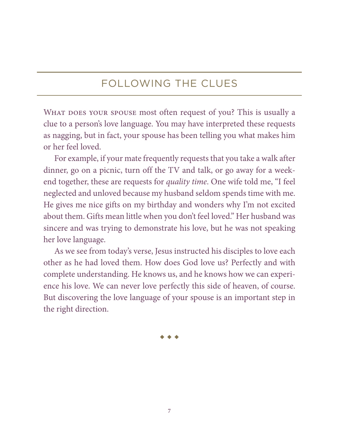## FOLLOWING THE CLUES

WHAT DOES YOUR SPOUSE most often request of you? This is usually a clue to a person's love language. You may have interpreted these requests as nagging, but in fact, your spouse has been telling you what makes him or her feel loved.

For example, if your mate frequently requests that you take a walk after dinner, go on a picnic, turn off the TV and talk, or go away for a weekend together, these are requests for *quality time*. One wife told me, "I feel neglected and unloved because my husband seldom spends time with me. He gives me nice gifts on my birthday and wonders why I'm not excited about them. Gifts mean little when you don't feel loved." Her husband was sincere and was trying to demonstrate his love, but he was not speaking her love language.

As we see from today's verse, Jesus instructed his disciples to love each other as he had loved them. How does God love us? Perfectly and with complete understanding. He knows us, and he knows how we can experience his love. We can never love perfectly this side of heaven, of course. But discovering the love language of your spouse is an important step in the right direction.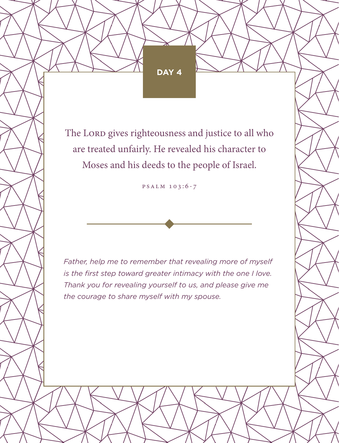The Lord gives righteousness and justice to all who are treated unfairly. He revealed his character to Moses and his deeds to the people of Israel.

Psalm 103:6-7

*Father, help me to remember that revealing more of myself is the first step toward greater intimacy with the one I love. Thank you for revealing yourself to us, and please give me the courage to share myself with my spouse.*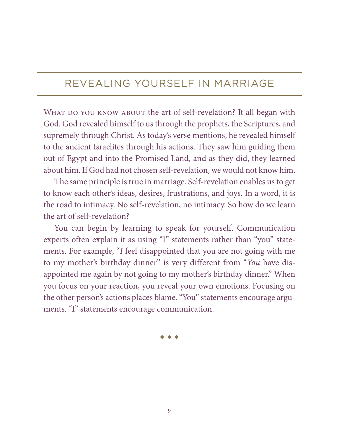## REVEALING YOURSELF IN MARRIAGE

WHAT DO YOU KNOW ABOUT the art of self-revelation? It all began with God. God revealed himself to us through the prophets, the Scriptures, and supremely through Christ. As today's verse mentions, he revealed himself to the ancient Israelites through his actions. They saw him guiding them out of Egypt and into the Promised Land, and as they did, they learned about him. If God had not chosen self-revelation, we would not know him.

The same principle is true in marriage. Self-revelation enables us to get to know each other's ideas, desires, frustrations, and joys. In a word, it is the road to intimacy. No self-revelation, no intimacy. So how do we learn the art of self-revelation?

You can begin by learning to speak for yourself. Communication experts often explain it as using "I" statements rather than "you" statements. For example, "*I* feel disappointed that you are not going with me to my mother's birthday dinner" is very different from "*You* have disappointed me again by not going to my mother's birthday dinner." When you focus on your reaction, you reveal your own emotions. Focusing on the other person's actions places blame. "You" statements encourage arguments. "I" statements encourage communication.

 $\begin{array}{ccc}\n\bullet & \bullet & \bullet\n\end{array}$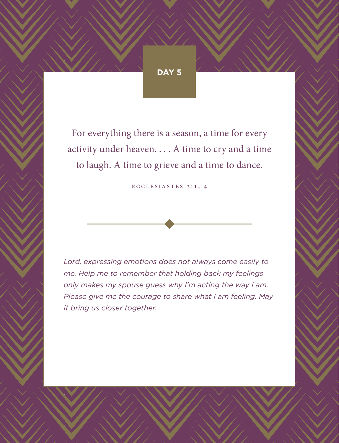For everything there is a season, a time for every activity under heaven. . . . A time to cry and a time to laugh. A time to grieve and a time to dance.

Ecclesiastes 3:1, 4

*Lord, expressing emotions does not always come easily to me. Help me to remember that holding back my feelings only makes my spouse guess why I'm acting the way I am. Please give me the courage to share what I am feeling. May it bring us closer together.*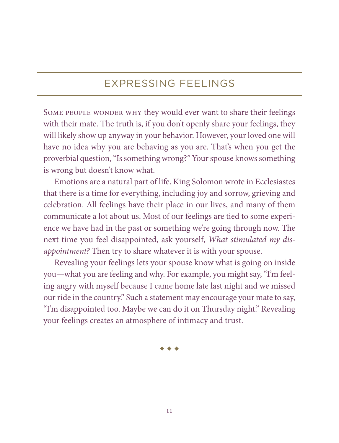#### EXPRESSING FEELINGS

SOME PEOPLE WONDER WHY they would ever want to share their feelings with their mate. The truth is, if you don't openly share your feelings, they will likely show up anyway in your behavior. However, your loved one will have no idea why you are behaving as you are. That's when you get the proverbial question, "Is something wrong?" Your spouse knows something is wrong but doesn't know what.

Emotions are a natural part of life. King Solomon wrote in Ecclesiastes that there is a time for everything, including joy and sorrow, grieving and celebration. All feelings have their place in our lives, and many of them communicate a lot about us. Most of our feelings are tied to some experience we have had in the past or something we're going through now. The next time you feel disappointed, ask yourself, *What stimulated my disappointment?* Then try to share whatever it is with your spouse.

Revealing your feelings lets your spouse know what is going on inside you—what you are feeling and why. For example, you might say, "I'm feeling angry with myself because I came home late last night and we missed our ride in the country." Such a statement may encourage your mate to say, "I'm disappointed too. Maybe we can do it on Thursday night." Revealing your feelings creates an atmosphere of intimacy and trust.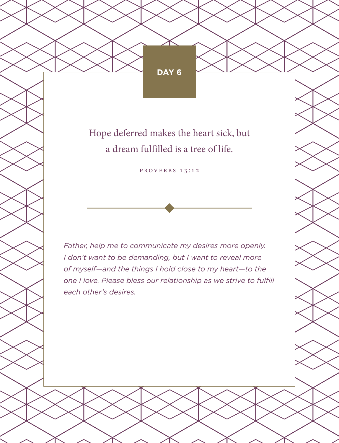Hope deferred makes the heart sick, but a dream fulfilled is a tree of life.

PROVERBS 13:12

*Father, help me to communicate my desires more openly. I don't want to be demanding, but I want to reveal more of myself—and the things I hold close to my heart—to the one I love. Please bless our relationship as we strive to fulfill each other's desires.*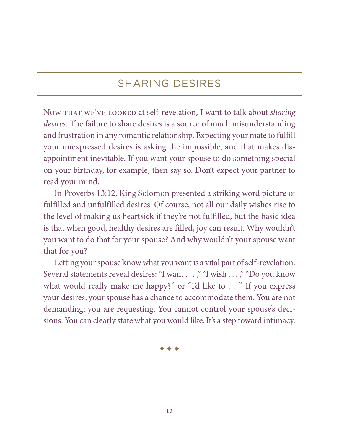## SHARING DESIRES

Now THAT WE'VE LOOKED at self-revelation, I want to talk about *sharing desires*. The failure to share desires is a source of much misunderstanding and frustration in any romantic relationship. Expecting your mate to fulfill your unexpressed desires is asking the impossible, and that makes disappointment inevitable. If you want your spouse to do something special on your birthday, for example, then say so. Don't expect your partner to read your mind.

In Proverbs 13:12, King Solomon presented a striking word picture of fulfilled and unfulfilled desires. Of course, not all our daily wishes rise to the level of making us heartsick if they're not fulfilled, but the basic idea is that when good, healthy desires are filled, joy can result. Why wouldn't you want to do that for your spouse? And why wouldn't your spouse want that for you?

Letting your spouse know what you want is a vital part of self-revelation. Several statements reveal desires: "I want . . . ," "I wish . . . ," "Do you know what would really make me happy?" or "I'd like to . . ." If you express your desires, your spouse has a chance to accommodate them. You are not demanding; you are requesting. You cannot control your spouse's decisions. You can clearly state what you would like. It's a step toward intimacy.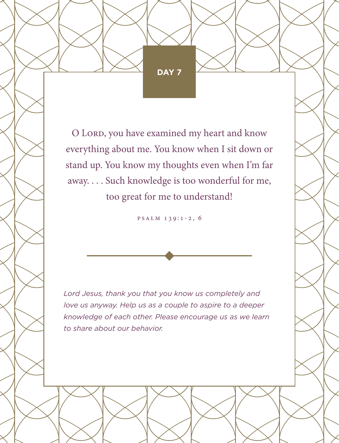O LORD, you have examined my heart and know everything about me. You know when I sit down or stand up. You know my thoughts even when I'm far away. . . . Such knowledge is too wonderful for me, too great for me to understand!

Psalm 139:1-2, 6

*Lord Jesus, thank you that you know us completely and love us anyway. Help us as a couple to aspire to a deeper knowledge of each other. Please encourage us as we learn to share about our behavior.*